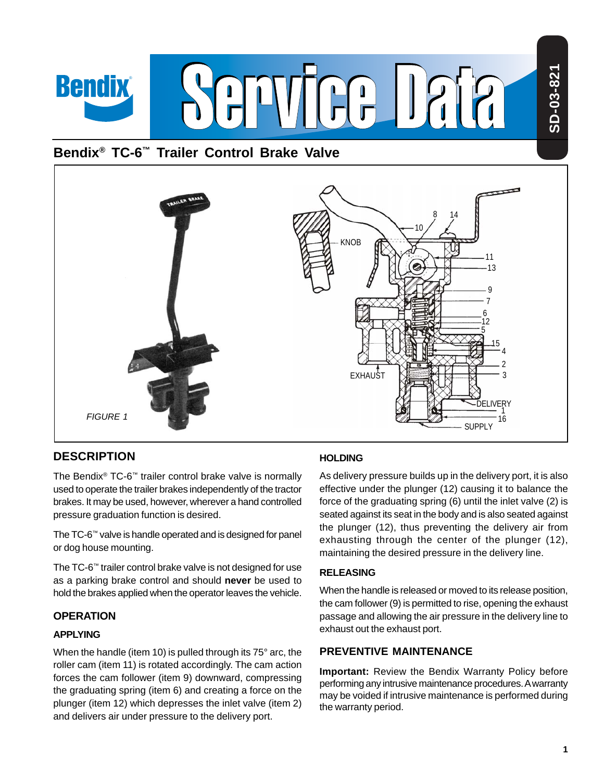# **Bendix® TC-6™ Trailer Control Brake Valve**



# **DESCRIPTION**

**Bendix** 

The Bendix® TC-6™ trailer control brake valve is normally used to operate the trailer brakes independently of the tractor brakes. It may be used, however, wherever a hand controlled pressure graduation function is desired.

The TC-6™ valve is handle operated and is designed for panel or dog house mounting.

The TC-6™ trailer control brake valve is not designed for use as a parking brake control and should **never** be used to hold the brakes applied when the operator leaves the vehicle.

# **OPERATION**

#### **APPLYING**

When the handle (item 10) is pulled through its 75° arc, the roller cam (item 11) is rotated accordingly. The cam action forces the cam follower (item 9) downward, compressing the graduating spring (item 6) and creating a force on the plunger (item 12) which depresses the inlet valve (item 2) and delivers air under pressure to the delivery port.

# **HOLDING**

As delivery pressure builds up in the delivery port, it is also effective under the plunger (12) causing it to balance the force of the graduating spring (6) until the inlet valve (2) is seated against its seat in the body and is also seated against the plunger (12), thus preventing the delivery air from exhausting through the center of the plunger (12), maintaining the desired pressure in the delivery line.

#### **RELEASING**

When the handle is released or moved to its release position, the cam follower (9) is permitted to rise, opening the exhaust passage and allowing the air pressure in the delivery line to exhaust out the exhaust port.

# **PREVENTIVE MAINTENANCE**

**Important:** Review the Bendix Warranty Policy before performing any intrusive maintenance procedures. A warranty may be voided if intrusive maintenance is performed during the warranty period.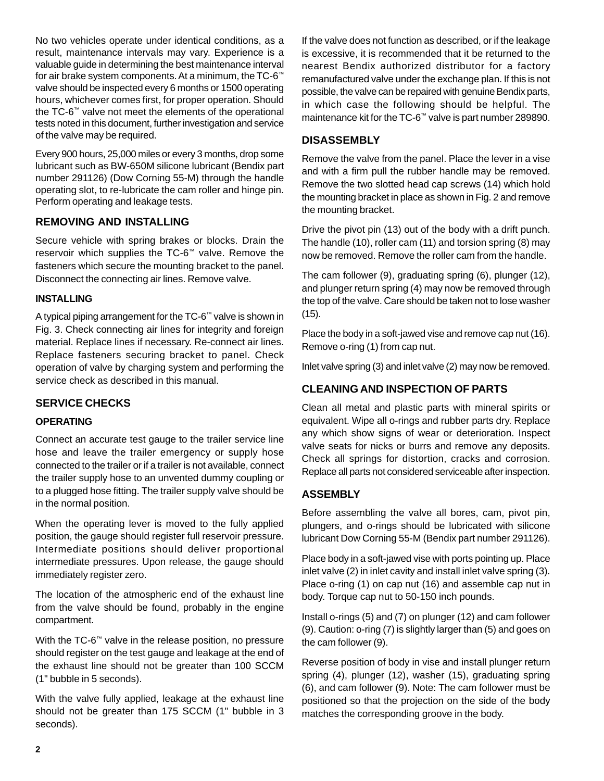No two vehicles operate under identical conditions, as a result, maintenance intervals may vary. Experience is a valuable guide in determining the best maintenance interval for air brake system components. At a minimum, the TC-6™ valve should be inspected every 6 months or 1500 operating hours, whichever comes first, for proper operation. Should the TC-6™ valve not meet the elements of the operational tests noted in this document, further investigation and service of the valve may be required.

Every 900 hours, 25,000 miles or every 3 months, drop some lubricant such as BW-650M silicone lubricant (Bendix part number 291126) (Dow Corning 55-M) through the handle operating slot, to re-lubricate the cam roller and hinge pin. Perform operating and leakage tests.

# **REMOVING AND INSTALLING**

Secure vehicle with spring brakes or blocks. Drain the reservoir which supplies the TC-6™ valve. Remove the fasteners which secure the mounting bracket to the panel. Disconnect the connecting air lines. Remove valve.

#### **INSTALLING**

A typical piping arrangement for the TC-6™ valve is shown in Fig. 3. Check connecting air lines for integrity and foreign material. Replace lines if necessary. Re-connect air lines. Replace fasteners securing bracket to panel. Check operation of valve by charging system and performing the service check as described in this manual.

# **SERVICE CHECKS**

#### **OPERATING**

Connect an accurate test gauge to the trailer service line hose and leave the trailer emergency or supply hose connected to the trailer or if a trailer is not available, connect the trailer supply hose to an unvented dummy coupling or to a plugged hose fitting. The trailer supply valve should be in the normal position.

When the operating lever is moved to the fully applied position, the gauge should register full reservoir pressure. Intermediate positions should deliver proportional intermediate pressures. Upon release, the gauge should immediately register zero.

The location of the atmospheric end of the exhaust line from the valve should be found, probably in the engine compartment.

With the TC-6™ valve in the release position, no pressure should register on the test gauge and leakage at the end of the exhaust line should not be greater than 100 SCCM (1" bubble in 5 seconds).

With the valve fully applied, leakage at the exhaust line should not be greater than 175 SCCM (1" bubble in 3 seconds).

If the valve does not function as described, or if the leakage is excessive, it is recommended that it be returned to the nearest Bendix authorized distributor for a factory remanufactured valve under the exchange plan. If this is not possible, the valve can be repaired with genuine Bendix parts, in which case the following should be helpful. The maintenance kit for the TC-6™ valve is part number 289890.

# **DISASSEMBLY**

Remove the valve from the panel. Place the lever in a vise and with a firm pull the rubber handle may be removed. Remove the two slotted head cap screws (14) which hold the mounting bracket in place as shown in Fig. 2 and remove the mounting bracket.

Drive the pivot pin (13) out of the body with a drift punch. The handle (10), roller cam (11) and torsion spring (8) may now be removed. Remove the roller cam from the handle.

The cam follower (9), graduating spring (6), plunger (12), and plunger return spring (4) may now be removed through the top of the valve. Care should be taken not to lose washer (15).

Place the body in a soft-jawed vise and remove cap nut (16). Remove o-ring (1) from cap nut.

Inlet valve spring (3) and inlet valve (2) may now be removed.

# **CLEANING AND INSPECTION OF PARTS**

Clean all metal and plastic parts with mineral spirits or equivalent. Wipe all o-rings and rubber parts dry. Replace any which show signs of wear or deterioration. Inspect valve seats for nicks or burrs and remove any deposits. Check all springs for distortion, cracks and corrosion. Replace all parts not considered serviceable after inspection.

# **ASSEMBLY**

Before assembling the valve all bores, cam, pivot pin, plungers, and o-rings should be lubricated with silicone lubricant Dow Corning 55-M (Bendix part number 291126).

Place body in a soft-jawed vise with ports pointing up. Place inlet valve (2) in inlet cavity and install inlet valve spring (3). Place o-ring (1) on cap nut (16) and assemble cap nut in body. Torque cap nut to 50-150 inch pounds.

Install o-rings (5) and (7) on plunger (12) and cam follower (9). Caution: o-ring (7) is slightly larger than (5) and goes on the cam follower (9).

Reverse position of body in vise and install plunger return spring (4), plunger (12), washer (15), graduating spring (6), and cam follower (9). Note: The cam follower must be positioned so that the projection on the side of the body matches the corresponding groove in the body.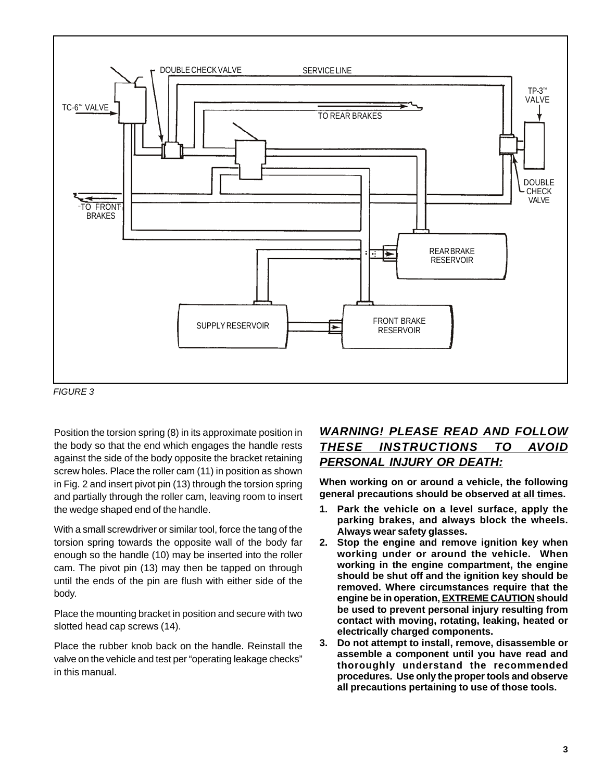

FIGURE 3

Position the torsion spring (8) in its approximate position in the body so that the end which engages the handle rests against the side of the body opposite the bracket retaining screw holes. Place the roller cam (11) in position as shown in Fig. 2 and insert pivot pin (13) through the torsion spring and partially through the roller cam, leaving room to insert the wedge shaped end of the handle.

With a small screwdriver or similar tool, force the tang of the torsion spring towards the opposite wall of the body far enough so the handle (10) may be inserted into the roller cam. The pivot pin (13) may then be tapped on through until the ends of the pin are flush with either side of the body.

Place the mounting bracket in position and secure with two slotted head cap screws (14).

Place the rubber knob back on the handle. Reinstall the valve on the vehicle and test per "operating leakage checks" in this manual.

# **WARNING! PLEASE READ AND FOLLOW THESE INSTRUCTIONS TO AVOID PERSONAL INJURY OR DEATH:**

**When working on or around a vehicle, the following general precautions should be observed at all times.**

- **1. Park the vehicle on a level surface, apply the parking brakes, and always block the wheels. Always wear safety glasses.**
- **2. Stop the engine and remove ignition key when working under or around the vehicle. When working in the engine compartment, the engine should be shut off and the ignition key should be removed. Where circumstances require that the engine be in operation, EXTREME CAUTION should be used to prevent personal injury resulting from contact with moving, rotating, leaking, heated or electrically charged components.**
- **3. Do not attempt to install, remove, disassemble or assemble a component until you have read and thoroughly understand the recommended procedures. Use only the proper tools and observe all precautions pertaining to use of those tools.**